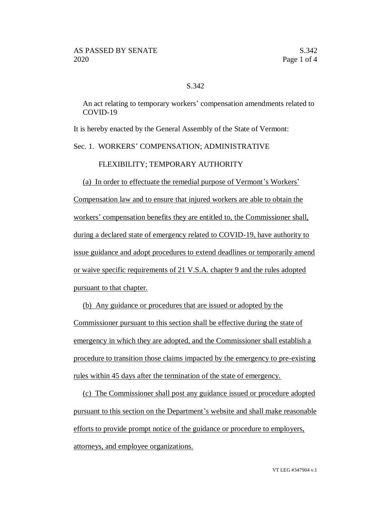## S.342

An act relating to temporary workers' compensation amendments related to COVID-19

It is hereby enacted by the General Assembly of the State of Vermont:

## Sec. 1. WORKERS' COMPENSATION; ADMINISTRATIVE

## FLEXIBILITY; TEMPORARY AUTHORITY

(a) In order to effectuate the remedial purpose of Vermont's Workers' Compensation law and to ensure that injured workers are able to obtain the workers' compensation benefits they are entitled to, the Commissioner shall, during a declared state of emergency related to COVID-19, have authority to issue guidance and adopt procedures to extend deadlines or temporarily amend or waive specific requirements of 21 V.S.A. chapter 9 and the rules adopted pursuant to that chapter.

(b) Any guidance or procedures that are issued or adopted by the Commissioner pursuant to this section shall be effective during the state of emergency in which they are adopted, and the Commissioner shall establish a procedure to transition those claims impacted by the emergency to pre-existing rules within 45 days after the termination of the state of emergency.

(c) The Commissioner shall post any guidance issued or procedure adopted pursuant to this section on the Department's website and shall make reasonable efforts to provide prompt notice of the guidance or procedure to employers, attorneys, and employee organizations.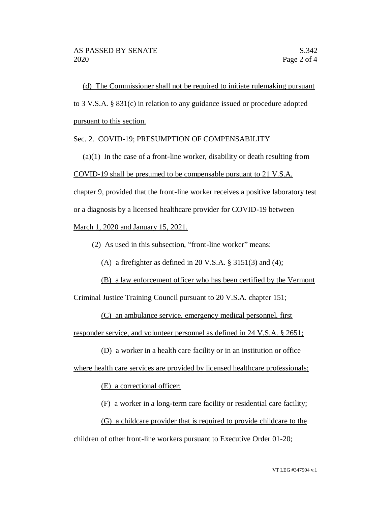(d) The Commissioner shall not be required to initiate rulemaking pursuant to 3 V.S.A. § 831(c) in relation to any guidance issued or procedure adopted pursuant to this section.

Sec. 2. COVID-19; PRESUMPTION OF COMPENSABILITY

 $(a)(1)$  In the case of a front-line worker, disability or death resulting from

COVID-19 shall be presumed to be compensable pursuant to 21 V.S.A.

chapter 9, provided that the front-line worker receives a positive laboratory test

or a diagnosis by a licensed healthcare provider for COVID-19 between

March 1, 2020 and January 15, 2021.

(2) As used in this subsection, "front-line worker" means:

(A) a firefighter as defined in 20 V.S.A.  $\S$  3151(3) and (4);

(B) a law enforcement officer who has been certified by the Vermont

Criminal Justice Training Council pursuant to 20 V.S.A. chapter 151;

(C) an ambulance service, emergency medical personnel, first

responder service, and volunteer personnel as defined in 24 V.S.A. § 2651;

(D) a worker in a health care facility or in an institution or office

where health care services are provided by licensed healthcare professionals;

(E) a correctional officer;

(F) a worker in a long-term care facility or residential care facility;

(G) a childcare provider that is required to provide childcare to the

children of other front-line workers pursuant to Executive Order 01-20;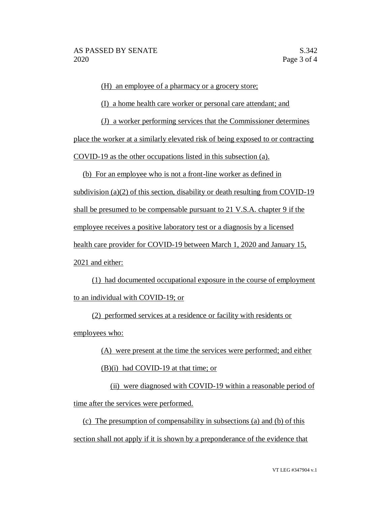(H) an employee of a pharmacy or a grocery store;

(I) a home health care worker or personal care attendant; and

(J) a worker performing services that the Commissioner determines

place the worker at a similarly elevated risk of being exposed to or contracting

COVID-19 as the other occupations listed in this subsection (a).

(b) For an employee who is not a front-line worker as defined in subdivision (a)(2) of this section, disability or death resulting from COVID-19 shall be presumed to be compensable pursuant to 21 V.S.A. chapter 9 if the employee receives a positive laboratory test or a diagnosis by a licensed health care provider for COVID-19 between March 1, 2020 and January 15, 2021 and either:

(1) had documented occupational exposure in the course of employment to an individual with COVID-19; or

(2) performed services at a residence or facility with residents or employees who:

> (A) were present at the time the services were performed; and either (B)(i) had COVID-19 at that time; or

(ii) were diagnosed with COVID-19 within a reasonable period of time after the services were performed.

(c) The presumption of compensability in subsections (a) and (b) of this section shall not apply if it is shown by a preponderance of the evidence that